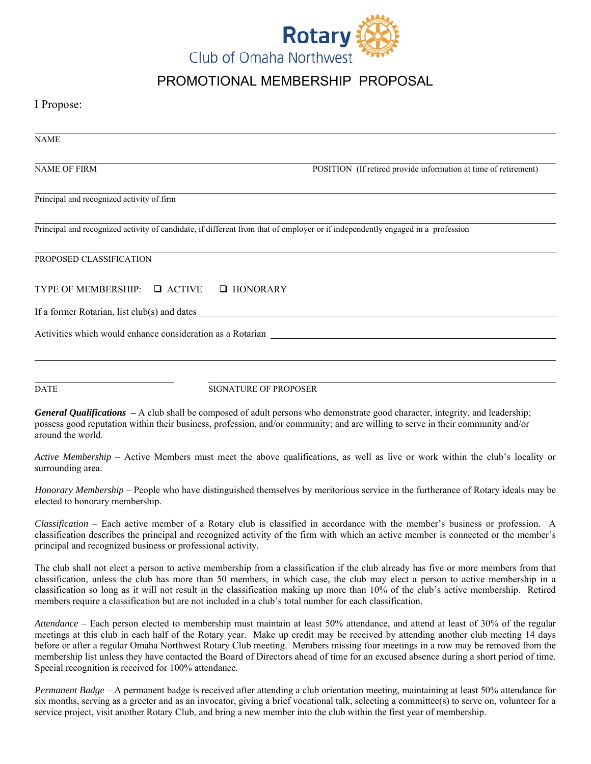

## PROMOTIONAL MEMBERSHIP PROPOSAL

## I Propose:

| <b>NAME</b>                               |                                                                                                                                                                                                                                                                          |
|-------------------------------------------|--------------------------------------------------------------------------------------------------------------------------------------------------------------------------------------------------------------------------------------------------------------------------|
| <b>NAME OF FIRM</b>                       | POSITION (If retired provide information at time of retirement)                                                                                                                                                                                                          |
| Principal and recognized activity of firm |                                                                                                                                                                                                                                                                          |
|                                           | Principal and recognized activity of candidate, if different from that of employer or if independently engaged in a profession                                                                                                                                           |
| PROPOSED CLASSIFICATION                   |                                                                                                                                                                                                                                                                          |
| TYPE OF MEMBERSHIP: $\Box$ ACTIVE         | $\Box$ HONORARY                                                                                                                                                                                                                                                          |
|                                           |                                                                                                                                                                                                                                                                          |
|                                           | Activities which would enhance consideration as a Rotarian                                                                                                                                                                                                               |
|                                           |                                                                                                                                                                                                                                                                          |
| <b>DATE</b>                               | <b>SIGNATURE OF PROPOSER</b>                                                                                                                                                                                                                                             |
| around the world.                         | <b>General Qualifications</b> $-A$ club shall be composed of adult persons who demonstrate good character, integrity, and leadership;<br>possess good reputation within their business, profession, and/or community; and are willing to serve in their community and/or |
| surrounding area.                         | Active Membership – Active Members must meet the above qualifications, as well as live or work within the club's locality or                                                                                                                                             |

*Honorary Membership* – People who have distinguished themselves by meritorious service in the furtherance of Rotary ideals may be elected to honorary membership.

*Classification* – Each active member of a Rotary club is classified in accordance with the member's business or profession. A classification describes the principal and recognized activity of the firm with which an active member is connected or the member's principal and recognized business or professional activity.

The club shall not elect a person to active membership from a classification if the club already has five or more members from that classification, unless the club has more than 50 members, in which case, the club may elect a person to active membership in a classification so long as it will not result in the classification making up more than 10% of the club's active membership. Retired members require a classification but are not included in a club's total number for each classification.

*Attendance* – Each person elected to membership must maintain at least 50% attendance, and attend at least of 30% of the regular meetings at this club in each half of the Rotary year. Make up credit may be received by attending another club meeting 14 days before or after a regular Omaha Northwest Rotary Club meeting. Members missing four meetings in a row may be removed from the membership list unless they have contacted the Board of Directors ahead of time for an excused absence during a short period of time. Special recognition is received for 100% attendance.

*Permanent Badge* – A permanent badge is received after attending a club orientation meeting, maintaining at least 50% attendance for six months, serving as a greeter and as an invocator, giving a brief vocational talk, selecting a committee(s) to serve on, volunteer for a service project, visit another Rotary Club, and bring a new member into the club within the first year of membership.